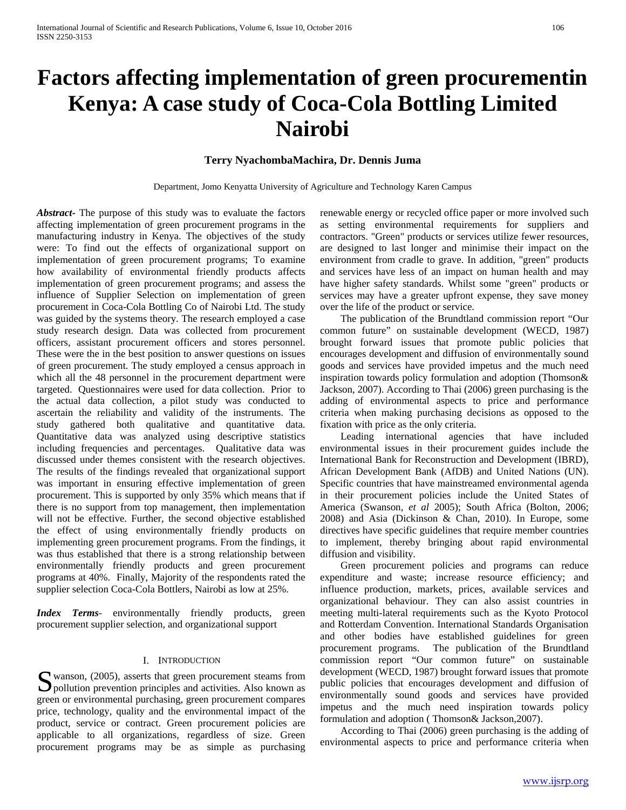# **Factors affecting implementation of green procurementin Kenya: A case study of Coca-Cola Bottling Limited Nairobi**

# **Terry NyachombaMachira, Dr. Dennis Juma**

Department, Jomo Kenyatta University of Agriculture and Technology Karen Campus

*Abstract***-** The purpose of this study was to evaluate the factors affecting implementation of green procurement programs in the manufacturing industry in Kenya. The objectives of the study were: To find out the effects of organizational support on implementation of green procurement programs; To examine how availability of environmental friendly products affects implementation of green procurement programs; and assess the influence of Supplier Selection on implementation of green procurement in Coca-Cola Bottling Co of Nairobi Ltd. The study was guided by the systems theory. The research employed a case study research design. Data was collected from procurement officers, assistant procurement officers and stores personnel. These were the in the best position to answer questions on issues of green procurement. The study employed a census approach in which all the 48 personnel in the procurement department were targeted. Questionnaires were used for data collection. Prior to the actual data collection, a pilot study was conducted to ascertain the reliability and validity of the instruments. The study gathered both qualitative and quantitative data. Quantitative data was analyzed using descriptive statistics including frequencies and percentages. Qualitative data was discussed under themes consistent with the research objectives. The results of the findings revealed that organizational support was important in ensuring effective implementation of green procurement. This is supported by only 35% which means that if there is no support from top management, then implementation will not be effective. Further, the second objective established the effect of using environmentally friendly products on implementing green procurement programs. From the findings, it was thus established that there is a strong relationship between environmentally friendly products and green procurement programs at 40%. Finally, Majority of the respondents rated the supplier selection Coca-Cola Bottlers, Nairobi as low at 25%.

*Index Terms*- environmentally friendly products, green procurement supplier selection, and organizational support

## I. INTRODUCTION

wanson, (2005), asserts that green procurement steams from S wanson, (2005), asserts that green procurement steams from pollution prevention principles and activities. Also known as green or environmental purchasing, green procurement compares price, technology, quality and the environmental impact of the product, service or contract. Green procurement policies are applicable to all organizations, regardless of size. Green procurement programs may be as simple as purchasing

renewable energy or recycled office paper or more involved such as setting environmental requirements for suppliers and contractors. "Green" products or services utilize fewer resources, are designed to last longer and minimise their impact on the environment from cradle to grave. In addition, "green" products and services have less of an impact on human health and may have higher safety standards. Whilst some "green" products or services may have a greater upfront expense, they save money over the life of the product or service.

 The publication of the Brundtland commission report "Our common future" on sustainable development (WECD, 1987) brought forward issues that promote public policies that encourages development and diffusion of environmentally sound goods and services have provided impetus and the much need inspiration towards policy formulation and adoption (Thomson& Jackson, 2007). According to Thai (2006) green purchasing is the adding of environmental aspects to price and performance criteria when making purchasing decisions as opposed to the fixation with price as the only criteria.

 Leading international agencies that have included environmental issues in their procurement guides include the International Bank for Reconstruction and Development (IBRD), African Development Bank (AfDB) and United Nations (UN). Specific countries that have mainstreamed environmental agenda in their procurement policies include the United States of America (Swanson, *et al* 2005); South Africa (Bolton, 2006; 2008) and Asia (Dickinson & Chan, 2010). In Europe, some directives have specific guidelines that require member countries to implement, thereby bringing about rapid environmental diffusion and visibility.

 Green procurement policies and programs can reduce expenditure and waste; increase resource efficiency; and influence production, markets, prices, available services and organizational behaviour. They can also assist countries in meeting multi-lateral requirements such as the Kyoto Protocol and Rotterdam Convention. International Standards Organisation and other bodies have established guidelines for green procurement programs. The publication of the Brundtland commission report "Our common future" on sustainable development (WECD, 1987) brought forward issues that promote public policies that encourages development and diffusion of environmentally sound goods and services have provided impetus and the much need inspiration towards policy formulation and adoption ( Thomson& Jackson,2007).

 According to Thai (2006) green purchasing is the adding of environmental aspects to price and performance criteria when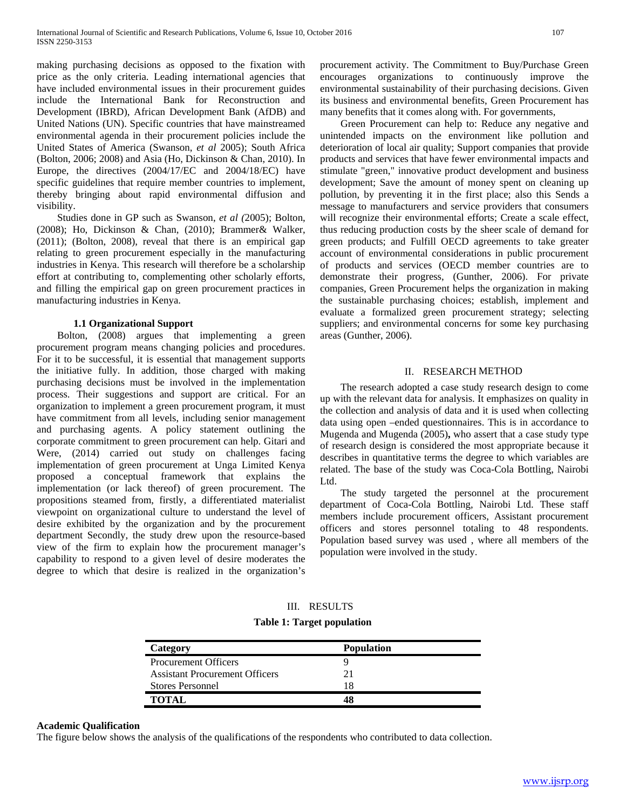making purchasing decisions as opposed to the fixation with price as the only criteria. Leading international agencies that have included environmental issues in their procurement guides include the International Bank for Reconstruction and Development (IBRD), African Development Bank (AfDB) and United Nations (UN). Specific countries that have mainstreamed environmental agenda in their procurement policies include the United States of America (Swanson, *et al* 2005); South Africa (Bolton, 2006; 2008) and Asia (Ho, Dickinson & Chan, 2010). In Europe, the directives (2004/17/EC and 2004/18/EC) have specific guidelines that require member countries to implement, thereby bringing about rapid environmental diffusion and visibility.

 Studies done in GP such as Swanson, *et al (*2005); Bolton, (2008); Ho, Dickinson & Chan, (2010); Brammer& Walker, (2011); (Bolton, 2008), reveal that there is an empirical gap relating to green procurement especially in the manufacturing industries in Kenya. This research will therefore be a scholarship effort at contributing to, complementing other scholarly efforts, and filling the empirical gap on green procurement practices in manufacturing industries in Kenya.

## **1.1 Organizational Support**

 Bolton, (2008) argues that implementing a green procurement program means changing policies and procedures. For it to be successful, it is essential that management supports the initiative fully. In addition, those charged with making purchasing decisions must be involved in the implementation process. Their suggestions and support are critical. For an organization to implement a green procurement program, it must have commitment from all levels, including senior management and purchasing agents. A policy statement outlining the corporate commitment to green procurement can help. Gitari and Were, (2014) carried out study on challenges facing implementation of green procurement at Unga Limited Kenya proposed a conceptual framework that explains the implementation (or lack thereof) of green procurement. The propositions steamed from, firstly, a differentiated materialist viewpoint on organizational culture to understand the level of desire exhibited by the organization and by the procurement department Secondly, the study drew upon the resource-based view of the firm to explain how the procurement manager's capability to respond to a given level of desire moderates the degree to which that desire is realized in the organization's procurement activity. The Commitment to Buy/Purchase Green encourages organizations to continuously improve the environmental sustainability of their purchasing decisions. Given its business and environmental benefits, Green Procurement has many benefits that it comes along with. For governments,

 Green Procurement can help to: Reduce any negative and unintended impacts on the environment like pollution and deterioration of local air quality; Support companies that provide products and services that have fewer environmental impacts and stimulate "green," innovative product development and business development; Save the amount of money spent on cleaning up pollution, by preventing it in the first place; also this Sends a message to manufacturers and service providers that consumers will recognize their environmental efforts; Create a scale effect, thus reducing production costs by the sheer scale of demand for green products; and Fulfill OECD agreements to take greater account of environmental considerations in public procurement of products and services (OECD member countries are to demonstrate their progress, (Gunther, 2006). For private companies, Green Procurement helps the organization in making the sustainable purchasing choices; establish, implement and evaluate a formalized green procurement strategy; selecting suppliers; and environmental concerns for some key purchasing areas (Gunther, 2006).

## II. RESEARCH METHOD

 The research adopted a case study research design to come up with the relevant data for analysis. It emphasizes on quality in the collection and analysis of data and it is used when collecting data using open –ended questionnaires. This is in accordance to Mugenda and Mugenda (2005)**,** who assert that a case study type of research design is considered the most appropriate because it describes in quantitative terms the degree to which variables are related. The base of the study was Coca-Cola Bottling, Nairobi Ltd.

 The study targeted the personnel at the procurement department of Coca-Cola Bottling, Nairobi Ltd. These staff members include procurement officers, Assistant procurement officers and stores personnel totaling to 48 respondents. Population based survey was used , where all members of the population were involved in the study.

| Ш | <b>RESULTS</b> |
|---|----------------|
|---|----------------|

**Table 1: Target population**

| Category                              | <b>Population</b> |  |
|---------------------------------------|-------------------|--|
| <b>Procurement Officers</b>           |                   |  |
| <b>Assistant Procurement Officers</b> |                   |  |
| <b>Stores Personnel</b>               |                   |  |
| <b>TOTAL</b>                          |                   |  |

### **Academic Qualification**

The figure below shows the analysis of the qualifications of the respondents who contributed to data collection.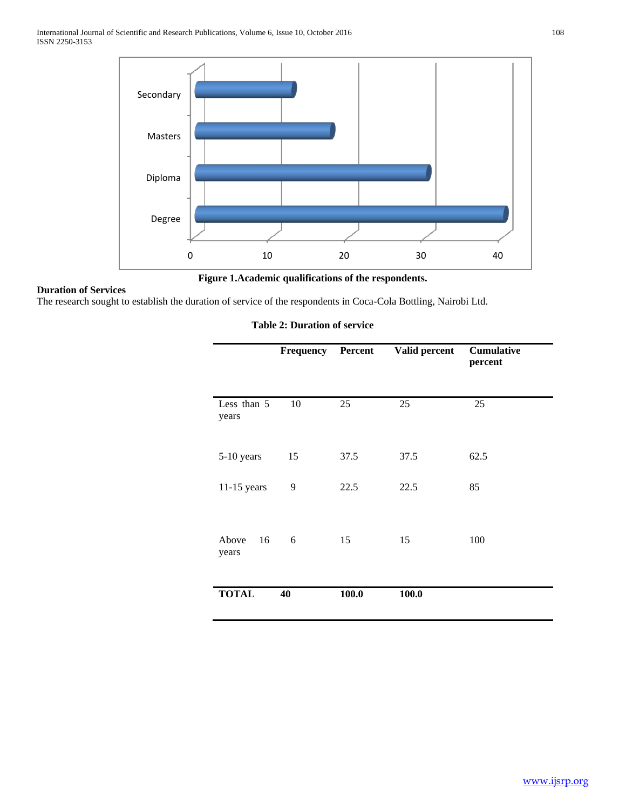International Journal of Scientific and Research Publications, Volume 6, Issue 10, October 2016 108 ISSN 2250-3153



**Figure 1.Academic qualifications of the respondents.**

## **Duration of Services**

The research sought to establish the duration of service of the respondents in Coca-Cola Bottling, Nairobi Ltd.

## **Table 2: Duration of service**

|                      | <b>Frequency</b> Percent |       | Valid percent | <b>Cumulative</b><br>percent |
|----------------------|--------------------------|-------|---------------|------------------------------|
| Less than 5<br>years | 10                       | 25    | 25            | 25                           |
| 5-10 years           | 15                       | 37.5  | 37.5          | 62.5                         |
| $11-15$ years        | 9                        | 22.5  | 22.5          | 85                           |
| 16<br>Above<br>years | 6                        | 15    | 15            | 100                          |
| <b>TOTAL</b>         | 40                       | 100.0 | 100.0         |                              |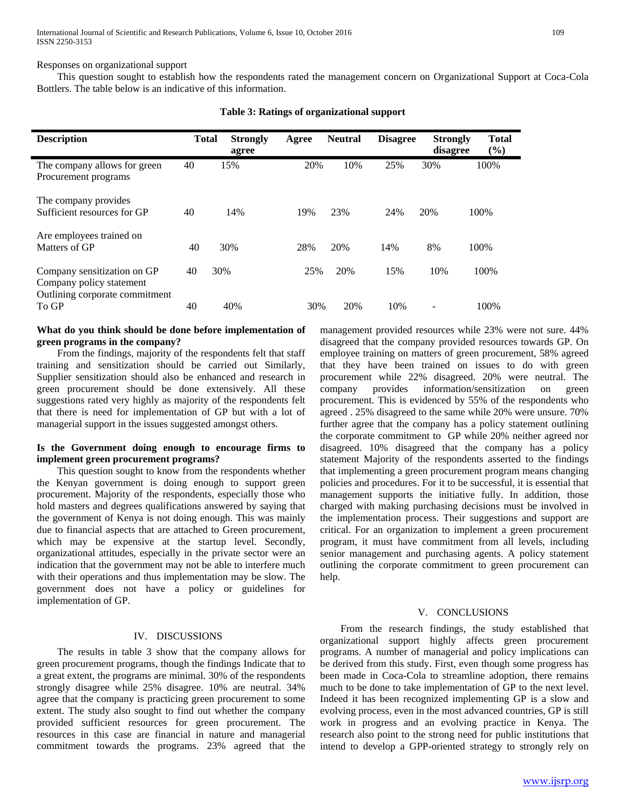Responses on organizational support

 This question sought to establish how the respondents rated the management concern on Organizational Support at Coca-Cola Bottlers. The table below is an indicative of this information.

| <b>Description</b>                                                                        | <b>Total</b> | <b>Strongly</b><br>agree | Agree | <b>Neutral</b> | <b>Disagree</b> | <b>Strongly</b><br>disagree | <b>Total</b><br>$(\%)$ |
|-------------------------------------------------------------------------------------------|--------------|--------------------------|-------|----------------|-----------------|-----------------------------|------------------------|
| The company allows for green<br>Procurement programs                                      | 40           | 15%                      | 20%   | 10%            | 25%             | 30%                         | 100%                   |
| The company provides<br>Sufficient resources for GP                                       | 40           | 14%                      | 19%   | 23%            | 24%             | 20%                         | 100\%                  |
| Are employees trained on<br>Matters of GP                                                 | 40           | 30%                      | 28%   | 20%            | 14%             | 8%                          | 100\%                  |
| Company sensitization on GP<br>Company policy statement<br>Outlining corporate commitment | 40           | 30%                      | 25%   | 20%            | 15%             | 10%                         | 100%                   |
| To GP                                                                                     | 40           | 40%                      | 30%   | 20%            | 10%             |                             | 100%                   |

#### **Table 3: Ratings of organizational support**

## **What do you think should be done before implementation of green programs in the company?**

 From the findings, majority of the respondents felt that staff training and sensitization should be carried out Similarly, Supplier sensitization should also be enhanced and research in green procurement should be done extensively. All these suggestions rated very highly as majority of the respondents felt that there is need for implementation of GP but with a lot of managerial support in the issues suggested amongst others.

## **Is the Government doing enough to encourage firms to implement green procurement programs?**

 This question sought to know from the respondents whether the Kenyan government is doing enough to support green procurement. Majority of the respondents, especially those who hold masters and degrees qualifications answered by saying that the government of Kenya is not doing enough. This was mainly due to financial aspects that are attached to Green procurement, which may be expensive at the startup level. Secondly, organizational attitudes, especially in the private sector were an indication that the government may not be able to interfere much with their operations and thus implementation may be slow. The government does not have a policy or guidelines for implementation of GP.

## IV. DISCUSSIONS

 The results in table 3 show that the company allows for green procurement programs, though the findings Indicate that to a great extent, the programs are minimal. 30% of the respondents strongly disagree while 25% disagree. 10% are neutral. 34% agree that the company is practicing green procurement to some extent. The study also sought to find out whether the company provided sufficient resources for green procurement. The resources in this case are financial in nature and managerial commitment towards the programs. 23% agreed that the

management provided resources while 23% were not sure. 44% disagreed that the company provided resources towards GP. On employee training on matters of green procurement, 58% agreed that they have been trained on issues to do with green procurement while 22% disagreed. 20% were neutral. The company provides information/sensitization on green procurement. This is evidenced by 55% of the respondents who agreed . 25% disagreed to the same while 20% were unsure. 70% further agree that the company has a policy statement outlining the corporate commitment to GP while 20% neither agreed nor disagreed. 10% disagreed that the company has a policy statement Majority of the respondents asserted to the findings that implementing a green procurement program means changing policies and procedures. For it to be successful, it is essential that management supports the initiative fully. In addition, those charged with making purchasing decisions must be involved in the implementation process. Their suggestions and support are critical. For an organization to implement a green procurement program, it must have commitment from all levels, including senior management and purchasing agents. A policy statement outlining the corporate commitment to green procurement can help.

#### V. CONCLUSIONS

 From the research findings, the study established that organizational support highly affects green procurement programs. A number of managerial and policy implications can be derived from this study. First, even though some progress has been made in Coca-Cola to streamline adoption, there remains much to be done to take implementation of GP to the next level. Indeed it has been recognized implementing GP is a slow and evolving process, even in the most advanced countries, GP is still work in progress and an evolving practice in Kenya. The research also point to the strong need for public institutions that intend to develop a GPP-oriented strategy to strongly rely on